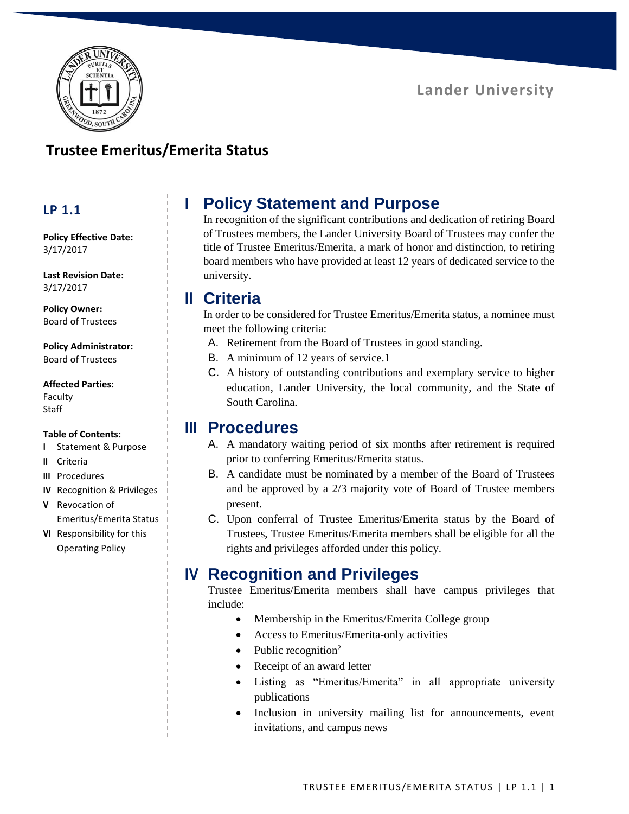

## **Trustee Emeritus/Emerita Status**

## **LP 1.1**

**Policy Effective Date:** 3/17/2017

**Last Revision Date:** 3/17/2017

**Policy Owner:** Board of Trustees

#### **Policy Administrator:** Board of Trustees

### **Affected Parties:**

Faculty Staff

### **Table of Contents:**

- **I** Statement & Purpose
- **II** Criteria
- **III** Procedures
- **IV** Recognition & Privileges
- **V** Revocation of Emeritus/Emerita Status
- **VI** Responsibility for this Operating Policy

# **I Policy Statement and Purpose**

In recognition of the significant contributions and dedication of retiring Board of Trustees members, the Lander University Board of Trustees may confer the title of Trustee Emeritus/Emerita, a mark of honor and distinction, to retiring board members who have provided at least 12 years of dedicated service to the university.

## **II Criteria**

In order to be considered for Trustee Emeritus/Emerita status, a nominee must meet the following criteria:

- A. Retirement from the Board of Trustees in good standing.
- B. A minimum of 12 years of service.1
- C. A history of outstanding contributions and exemplary service to higher education, Lander University, the local community, and the State of South Carolina.

## **III Procedures**

- A. A mandatory waiting period of six months after retirement is required prior to conferring Emeritus/Emerita status.
- B. A candidate must be nominated by a member of the Board of Trustees and be approved by a 2/3 majority vote of Board of Trustee members present.
- C. Upon conferral of Trustee Emeritus/Emerita status by the Board of Trustees, Trustee Emeritus/Emerita members shall be eligible for all the rights and privileges afforded under this policy.

## **IV Recognition and Privileges**

Trustee Emeritus/Emerita members shall have campus privileges that include:

- Membership in the Emeritus/Emerita College group
- Access to Emeritus/Emerita-only activities
- Public recognition<sup>2</sup>
- Receipt of an award letter
- Listing as "Emeritus/Emerita" in all appropriate university publications
- Inclusion in university mailing list for announcements, event invitations, and campus news